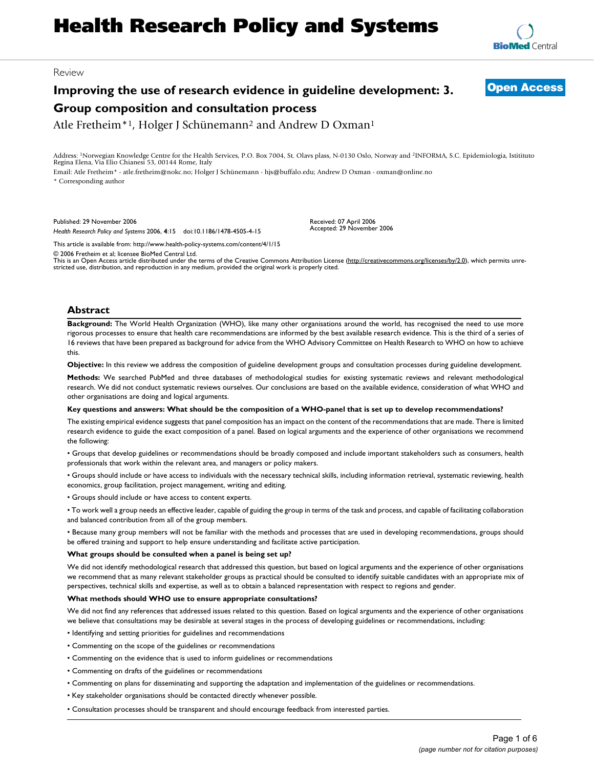#### Review

# **Improving the use of research evidence in guideline development: 3. Group composition and consultation process**

Atle Fretheim<sup>\*1</sup>, Holger J Schünemann<sup>2</sup> and Andrew D Oxman<sup>1</sup>

Address: 'Norwegian Knowledge Centre for the Health Services, P.O. Box 7004, St. Olavs plass, N-0130 Oslo, Norway and <sup>2</sup>INFORMA, S.C. Epidemiologia, Istitituto<br>Regina Elena, Via Elio Chianesi 53, 00144 Rome, Italy

Email: Atle Fretheim\* - atle.fretheim@nokc.no; Holger J Schünemann - hjs@buffalo.edu; Andrew D Oxman - oxman@online.no \* Corresponding author

Published: 29 November 2006

*Health Research Policy and Systems* 2006, **4**:15 doi:10.1186/1478-4505-4-15

[This article is available from: http://www.health-policy-systems.com/content/4/1/15](http://www.health-policy-systems.com/content/4/1/15)

© 2006 Fretheim et al; licensee BioMed Central Ltd.

This is an Open Access article distributed under the terms of the Creative Commons Attribution License ([http://creativecommons.org/licenses/by/2.0\)](http://creativecommons.org/licenses/by/2.0), which permits unrestricted use, distribution, and reproduction in any medium, provided the original work is properly cited.

#### **Abstract**

**Background:** The World Health Organization (WHO), like many other organisations around the world, has recognised the need to use more rigorous processes to ensure that health care recommendations are informed by the best available research evidence. This is the third of a series of 16 reviews that have been prepared as background for advice from the WHO Advisory Committee on Health Research to WHO on how to achieve this.

**Objective:** In this review we address the composition of guideline development groups and consultation processes during guideline development.

**Methods:** We searched PubMed and three databases of methodological studies for existing systematic reviews and relevant methodological research. We did not conduct systematic reviews ourselves. Our conclusions are based on the available evidence, consideration of what WHO and other organisations are doing and logical arguments.

#### **Key questions and answers: What should be the composition of a WHO-panel that is set up to develop recommendations?**

The existing empirical evidence suggests that panel composition has an impact on the content of the recommendations that are made. There is limited research evidence to guide the exact composition of a panel. Based on logical arguments and the experience of other organisations we recommend the following:

• Groups that develop guidelines or recommendations should be broadly composed and include important stakeholders such as consumers, health professionals that work within the relevant area, and managers or policy makers.

• Groups should include or have access to individuals with the necessary technical skills, including information retrieval, systematic reviewing, health economics, group facilitation, project management, writing and editing.

• Groups should include or have access to content experts.

• To work well a group needs an effective leader, capable of guiding the group in terms of the task and process, and capable of facilitating collaboration and balanced contribution from all of the group members.

• Because many group members will not be familiar with the methods and processes that are used in developing recommendations, groups should be offered training and support to help ensure understanding and facilitate active participation.

#### **What groups should be consulted when a panel is being set up?**

We did not identify methodological research that addressed this question, but based on logical arguments and the experience of other organisations we recommend that as many relevant stakeholder groups as practical should be consulted to identify suitable candidates with an appropriate mix of perspectives, technical skills and expertise, as well as to obtain a balanced representation with respect to regions and gender.

#### **What methods should WHO use to ensure appropriate consultations?**

We did not find any references that addressed issues related to this question. Based on logical arguments and the experience of other organisations we believe that consultations may be desirable at several stages in the process of developing guidelines or recommendations, including:

• Identifying and setting priorities for guidelines and recommendations

- Commenting on the scope of the guidelines or recommendations
- Commenting on the evidence that is used to inform guidelines or recommendations
- Commenting on drafts of the guidelines or recommendations
- Commenting on plans for disseminating and supporting the adaptation and implementation of the guidelines or recommendations.
- Key stakeholder organisations should be contacted directly whenever possible.
- Consultation processes should be transparent and should encourage feedback from interested parties.





Received: 07 April 2006 Accepted: 29 November 2006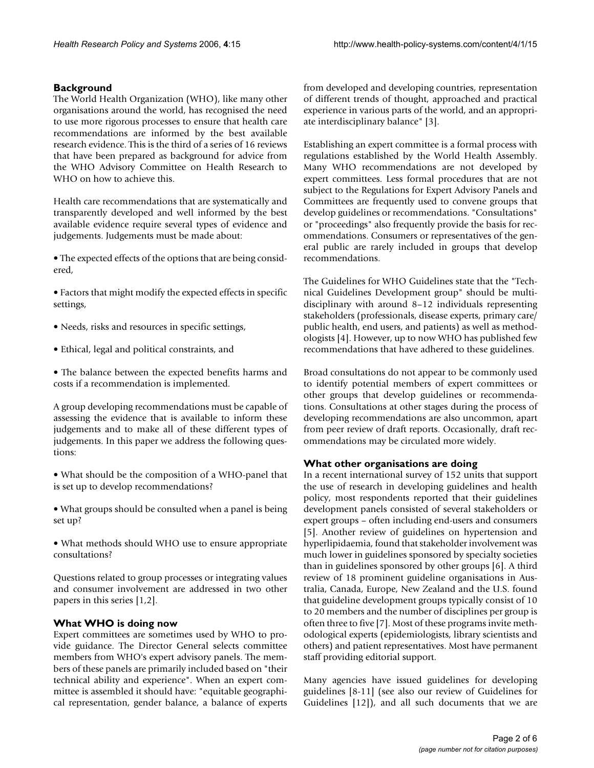# **Background**

The World Health Organization (WHO), like many other organisations around the world, has recognised the need to use more rigorous processes to ensure that health care recommendations are informed by the best available research evidence. This is the third of a series of 16 reviews that have been prepared as background for advice from the WHO Advisory Committee on Health Research to WHO on how to achieve this.

Health care recommendations that are systematically and transparently developed and well informed by the best available evidence require several types of evidence and judgements. Judgements must be made about:

• The expected effects of the options that are being considered,

• Factors that might modify the expected effects in specific settings,

- Needs, risks and resources in specific settings,
- Ethical, legal and political constraints, and
- The balance between the expected benefits harms and costs if a recommendation is implemented.

A group developing recommendations must be capable of assessing the evidence that is available to inform these judgements and to make all of these different types of judgements. In this paper we address the following questions:

• What should be the composition of a WHO-panel that is set up to develop recommendations?

• What groups should be consulted when a panel is being set up?

• What methods should WHO use to ensure appropriate consultations?

Questions related to group processes or integrating values and consumer involvement are addressed in two other papers in this series [1,2].

# **What WHO is doing now**

Expert committees are sometimes used by WHO to provide guidance. The Director General selects committee members from WHO's expert advisory panels. The members of these panels are primarily included based on "their technical ability and experience". When an expert committee is assembled it should have: "equitable geographical representation, gender balance, a balance of experts from developed and developing countries, representation of different trends of thought, approached and practical experience in various parts of the world, and an appropriate interdisciplinary balance" [3].

Establishing an expert committee is a formal process with regulations established by the World Health Assembly. Many WHO recommendations are not developed by expert committees. Less formal procedures that are not subject to the Regulations for Expert Advisory Panels and Committees are frequently used to convene groups that develop guidelines or recommendations. "Consultations" or "proceedings" also frequently provide the basis for recommendations. Consumers or representatives of the general public are rarely included in groups that develop recommendations.

The Guidelines for WHO Guidelines state that the "Technical Guidelines Development group" should be multidisciplinary with around 8–12 individuals representing stakeholders (professionals, disease experts, primary care/ public health, end users, and patients) as well as methodologists [4]. However, up to now WHO has published few recommendations that have adhered to these guidelines.

Broad consultations do not appear to be commonly used to identify potential members of expert committees or other groups that develop guidelines or recommendations. Consultations at other stages during the process of developing recommendations are also uncommon, apart from peer review of draft reports. Occasionally, draft recommendations may be circulated more widely.

#### **What other organisations are doing**

In a recent international survey of 152 units that support the use of research in developing guidelines and health policy, most respondents reported that their guidelines development panels consisted of several stakeholders or expert groups – often including end-users and consumers [5]. Another review of guidelines on hypertension and hyperlipidaemia, found that stakeholder involvement was much lower in guidelines sponsored by specialty societies than in guidelines sponsored by other groups [6]. A third review of 18 prominent guideline organisations in Australia, Canada, Europe, New Zealand and the U.S. found that guideline development groups typically consist of 10 to 20 members and the number of disciplines per group is often three to five [7]. Most of these programs invite methodological experts (epidemiologists, library scientists and others) and patient representatives. Most have permanent staff providing editorial support.

Many agencies have issued guidelines for developing guidelines [8-11] (see also our review of Guidelines for Guidelines [12]), and all such documents that we are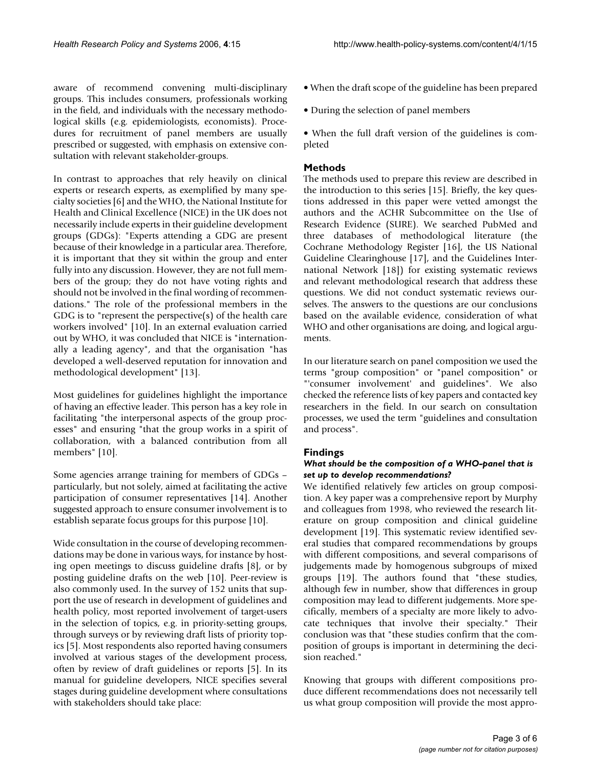aware of recommend convening multi-disciplinary groups. This includes consumers, professionals working in the field, and individuals with the necessary methodological skills (e.g. epidemiologists, economists). Procedures for recruitment of panel members are usually prescribed or suggested, with emphasis on extensive consultation with relevant stakeholder-groups.

In contrast to approaches that rely heavily on clinical experts or research experts, as exemplified by many specialty societies [6] and the WHO, the National Institute for Health and Clinical Excellence (NICE) in the UK does not necessarily include experts in their guideline development groups (GDGs): "Experts attending a GDG are present because of their knowledge in a particular area. Therefore, it is important that they sit within the group and enter fully into any discussion. However, they are not full members of the group; they do not have voting rights and should not be involved in the final wording of recommendations." The role of the professional members in the GDG is to "represent the perspective(s) of the health care workers involved" [10]. In an external evaluation carried out by WHO, it was concluded that NICE is "internationally a leading agency", and that the organisation "has developed a well-deserved reputation for innovation and methodological development" [13].

Most guidelines for guidelines highlight the importance of having an effective leader. This person has a key role in facilitating "the interpersonal aspects of the group processes" and ensuring "that the group works in a spirit of collaboration, with a balanced contribution from all members" [10].

Some agencies arrange training for members of GDGs – particularly, but not solely, aimed at facilitating the active participation of consumer representatives [14]. Another suggested approach to ensure consumer involvement is to establish separate focus groups for this purpose [10].

Wide consultation in the course of developing recommendations may be done in various ways, for instance by hosting open meetings to discuss guideline drafts [8], or by posting guideline drafts on the web [10]. Peer-review is also commonly used. In the survey of 152 units that support the use of research in development of guidelines and health policy, most reported involvement of target-users in the selection of topics, e.g. in priority-setting groups, through surveys or by reviewing draft lists of priority topics [5]. Most respondents also reported having consumers involved at various stages of the development process, often by review of draft guidelines or reports [5]. In its manual for guideline developers, NICE specifies several stages during guideline development where consultations with stakeholders should take place:

- When the draft scope of the guideline has been prepared
- During the selection of panel members

• When the full draft version of the guidelines is completed

# **Methods**

The methods used to prepare this review are described in the introduction to this series [15]. Briefly, the key questions addressed in this paper were vetted amongst the authors and the ACHR Subcommittee on the Use of Research Evidence (SURE). We searched PubMed and three databases of methodological literature (the Cochrane Methodology Register [16], the US National Guideline Clearinghouse [17], and the Guidelines International Network [18]) for existing systematic reviews and relevant methodological research that address these questions. We did not conduct systematic reviews ourselves. The answers to the questions are our conclusions based on the available evidence, consideration of what WHO and other organisations are doing, and logical arguments.

In our literature search on panel composition we used the terms "group composition" or "panel composition" or "'consumer involvement' and guidelines". We also checked the reference lists of key papers and contacted key researchers in the field. In our search on consultation processes, we used the term "guidelines and consultation and process".

# **Findings**

### *What should be the composition of a WHO-panel that is set up to develop recommendations?*

We identified relatively few articles on group composition. A key paper was a comprehensive report by Murphy and colleagues from 1998, who reviewed the research literature on group composition and clinical guideline development [19]. This systematic review identified several studies that compared recommendations by groups with different compositions, and several comparisons of judgements made by homogenous subgroups of mixed groups [19]. The authors found that "these studies, although few in number, show that differences in group composition may lead to different judgements. More specifically, members of a specialty are more likely to advocate techniques that involve their specialty." Their conclusion was that "these studies confirm that the composition of groups is important in determining the decision reached."

Knowing that groups with different compositions produce different recommendations does not necessarily tell us what group composition will provide the most appro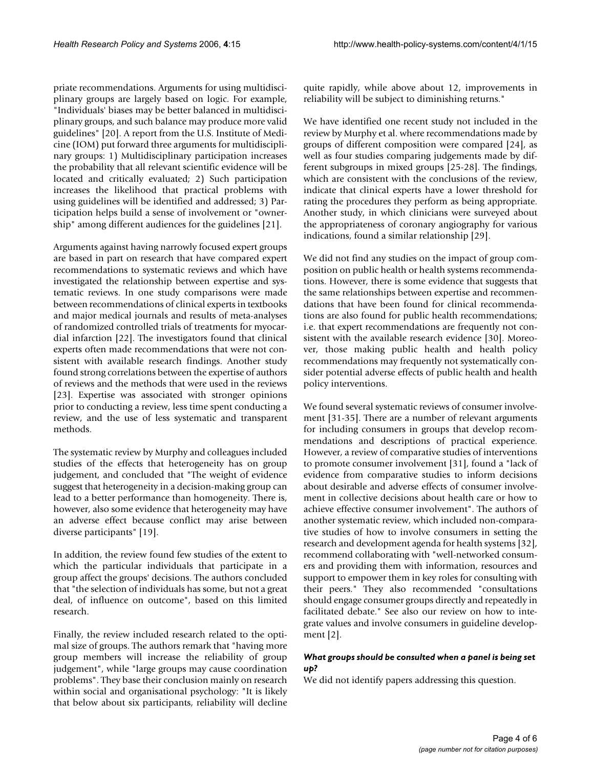priate recommendations. Arguments for using multidisciplinary groups are largely based on logic. For example, "Individuals' biases may be better balanced in multidisciplinary groups, and such balance may produce more valid guidelines" [20]. A report from the U.S. Institute of Medicine (IOM) put forward three arguments for multidisciplinary groups: 1) Multidisciplinary participation increases the probability that all relevant scientific evidence will be located and critically evaluated; 2) Such participation increases the likelihood that practical problems with using guidelines will be identified and addressed; 3) Participation helps build a sense of involvement or "ownership" among different audiences for the guidelines [21].

Arguments against having narrowly focused expert groups are based in part on research that have compared expert recommendations to systematic reviews and which have investigated the relationship between expertise and systematic reviews. In one study comparisons were made between recommendations of clinical experts in textbooks and major medical journals and results of meta-analyses of randomized controlled trials of treatments for myocardial infarction [22]. The investigators found that clinical experts often made recommendations that were not consistent with available research findings. Another study found strong correlations between the expertise of authors of reviews and the methods that were used in the reviews [23]. Expertise was associated with stronger opinions prior to conducting a review, less time spent conducting a review, and the use of less systematic and transparent methods.

The systematic review by Murphy and colleagues included studies of the effects that heterogeneity has on group judgement, and concluded that "The weight of evidence suggest that heterogeneity in a decision-making group can lead to a better performance than homogeneity. There is, however, also some evidence that heterogeneity may have an adverse effect because conflict may arise between diverse participants" [19].

In addition, the review found few studies of the extent to which the particular individuals that participate in a group affect the groups' decisions. The authors concluded that "the selection of individuals has some, but not a great deal, of influence on outcome", based on this limited research.

Finally, the review included research related to the optimal size of groups. The authors remark that "having more group members will increase the reliability of group judgement", while "large groups may cause coordination problems". They base their conclusion mainly on research within social and organisational psychology: "It is likely that below about six participants, reliability will decline quite rapidly, while above about 12, improvements in reliability will be subject to diminishing returns."

We have identified one recent study not included in the review by Murphy et al. where recommendations made by groups of different composition were compared [24], as well as four studies comparing judgements made by different subgroups in mixed groups [25-28]. The findings, which are consistent with the conclusions of the review, indicate that clinical experts have a lower threshold for rating the procedures they perform as being appropriate. Another study, in which clinicians were surveyed about the appropriateness of coronary angiography for various indications, found a similar relationship [29].

We did not find any studies on the impact of group composition on public health or health systems recommendations. However, there is some evidence that suggests that the same relationships between expertise and recommendations that have been found for clinical recommendations are also found for public health recommendations; i.e. that expert recommendations are frequently not consistent with the available research evidence [30]. Moreover, those making public health and health policy recommendations may frequently not systematically consider potential adverse effects of public health and health policy interventions.

We found several systematic reviews of consumer involvement [31-35]. There are a number of relevant arguments for including consumers in groups that develop recommendations and descriptions of practical experience. However, a review of comparative studies of interventions to promote consumer involvement [31], found a "lack of evidence from comparative studies to inform decisions about desirable and adverse effects of consumer involvement in collective decisions about health care or how to achieve effective consumer involvement". The authors of another systematic review, which included non-comparative studies of how to involve consumers in setting the research and development agenda for health systems [32], recommend collaborating with "well-networked consumers and providing them with information, resources and support to empower them in key roles for consulting with their peers." They also recommended "consultations should engage consumer groups directly and repeatedly in facilitated debate." See also our review on how to integrate values and involve consumers in guideline development [2].

#### *What groups should be consulted when a panel is being set up?*

We did not identify papers addressing this question.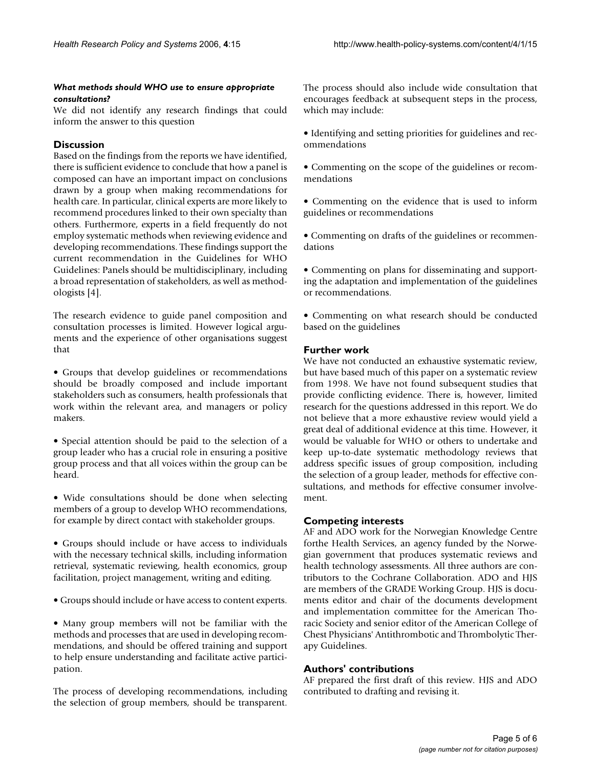### *What methods should WHO use to ensure appropriate consultations?*

We did not identify any research findings that could inform the answer to this question

# **Discussion**

Based on the findings from the reports we have identified, there is sufficient evidence to conclude that how a panel is composed can have an important impact on conclusions drawn by a group when making recommendations for health care. In particular, clinical experts are more likely to recommend procedures linked to their own specialty than others. Furthermore, experts in a field frequently do not employ systematic methods when reviewing evidence and developing recommendations. These findings support the current recommendation in the Guidelines for WHO Guidelines: Panels should be multidisciplinary, including a broad representation of stakeholders, as well as methodologists [4].

The research evidence to guide panel composition and consultation processes is limited. However logical arguments and the experience of other organisations suggest that

• Groups that develop guidelines or recommendations should be broadly composed and include important stakeholders such as consumers, health professionals that work within the relevant area, and managers or policy makers.

• Special attention should be paid to the selection of a group leader who has a crucial role in ensuring a positive group process and that all voices within the group can be heard.

• Wide consultations should be done when selecting members of a group to develop WHO recommendations, for example by direct contact with stakeholder groups.

• Groups should include or have access to individuals with the necessary technical skills, including information retrieval, systematic reviewing, health economics, group facilitation, project management, writing and editing.

• Groups should include or have access to content experts.

• Many group members will not be familiar with the methods and processes that are used in developing recommendations, and should be offered training and support to help ensure understanding and facilitate active participation.

The process of developing recommendations, including the selection of group members, should be transparent. The process should also include wide consultation that encourages feedback at subsequent steps in the process, which may include:

• Identifying and setting priorities for guidelines and recommendations

• Commenting on the scope of the guidelines or recommendations

• Commenting on the evidence that is used to inform guidelines or recommendations

• Commenting on drafts of the guidelines or recommendations

• Commenting on plans for disseminating and supporting the adaptation and implementation of the guidelines or recommendations.

• Commenting on what research should be conducted based on the guidelines

# **Further work**

We have not conducted an exhaustive systematic review, but have based much of this paper on a systematic review from 1998. We have not found subsequent studies that provide conflicting evidence. There is, however, limited research for the questions addressed in this report. We do not believe that a more exhaustive review would yield a great deal of additional evidence at this time. However, it would be valuable for WHO or others to undertake and keep up-to-date systematic methodology reviews that address specific issues of group composition, including the selection of a group leader, methods for effective consultations, and methods for effective consumer involvement.

# **Competing interests**

AF and ADO work for the Norwegian Knowledge Centre forthe Health Services, an agency funded by the Norwegian government that produces systematic reviews and health technology assessments. All three authors are contributors to the Cochrane Collaboration. ADO and HJS are members of the GRADE Working Group. HJS is documents editor and chair of the documents development and implementation committee for the American Thoracic Society and senior editor of the American College of Chest Physicians' Antithrombotic and Thrombolytic Therapy Guidelines.

# **Authors' contributions**

AF prepared the first draft of this review. HJS and ADO contributed to drafting and revising it.